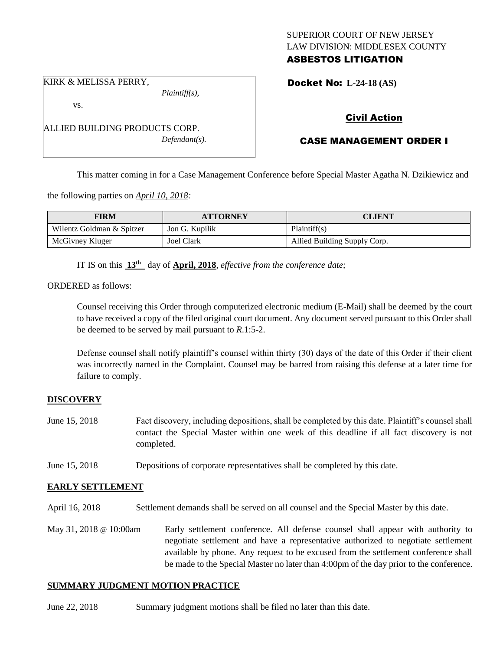# SUPERIOR COURT OF NEW JERSEY LAW DIVISION: MIDDLESEX COUNTY ASBESTOS LITIGATION

KIRK & MELISSA PERRY,

*Plaintiff(s),*

Docket No: **L-24-18 (AS)** 

vs.

ALLIED BUILDING PRODUCTS CORP. *Defendant(s).*

# Civil Action

# CASE MANAGEMENT ORDER I

This matter coming in for a Case Management Conference before Special Master Agatha N. Dzikiewicz and

the following parties on *April 10, 2018:*

| <b>FIRM</b>               | <b>ATTORNEY</b> | CLIENT                       |
|---------------------------|-----------------|------------------------------|
| Wilentz Goldman & Spitzer | Jon G. Kupilik  | Plaintiff(s)                 |
| McGivney Kluger           | Joel Clark      | Allied Building Supply Corp. |

IT IS on this **13th** day of **April, 2018**, *effective from the conference date;*

ORDERED as follows:

Counsel receiving this Order through computerized electronic medium (E-Mail) shall be deemed by the court to have received a copy of the filed original court document. Any document served pursuant to this Order shall be deemed to be served by mail pursuant to *R*.1:5-2.

Defense counsel shall notify plaintiff's counsel within thirty (30) days of the date of this Order if their client was incorrectly named in the Complaint. Counsel may be barred from raising this defense at a later time for failure to comply.

# **DISCOVERY**

- June 15, 2018 Fact discovery, including depositions, shall be completed by this date. Plaintiff's counsel shall contact the Special Master within one week of this deadline if all fact discovery is not completed.
- June 15, 2018 Depositions of corporate representatives shall be completed by this date.

# **EARLY SETTLEMENT**

April 16, 2018 Settlement demands shall be served on all counsel and the Special Master by this date.

May 31, 2018 @ 10:00am Early settlement conference. All defense counsel shall appear with authority to negotiate settlement and have a representative authorized to negotiate settlement available by phone. Any request to be excused from the settlement conference shall be made to the Special Master no later than 4:00pm of the day prior to the conference.

# **SUMMARY JUDGMENT MOTION PRACTICE**

June 22, 2018 Summary judgment motions shall be filed no later than this date.